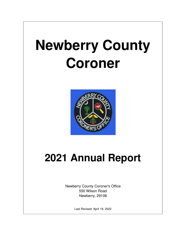# **Newberry County Coroner**



# **2021 Annual Report**

Newberry County Coroner's Office 550 Wilson Road Newberry, 29108

Last Revised: April 19, 2022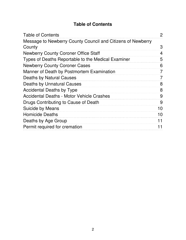#### **Table of Contents**

| <b>Table of Contents</b>                                    | $\overline{2}$ |
|-------------------------------------------------------------|----------------|
| Message to Newberry County Council and Citizens of Newberry |                |
| County                                                      | 3              |
| <b>Newberry County Coroner Office Staff</b>                 | 4              |
| Types of Deaths Reportable to the Medical Examiner          | 5              |
| <b>Newberry County Coroner Cases</b>                        | 6              |
| Manner of Death by Postmortem Examination                   | 7              |
| <b>Deaths by Natural Causes</b>                             | 7              |
| <b>Deaths by Unnatural Causes</b>                           | 8              |
| <b>Accidental Deaths by Type</b>                            | 8              |
| <b>Accidental Deaths - Motor Vehicle Crashes</b>            | 9              |
| Drugs Contributing to Cause of Death                        | 9              |
| <b>Suicide by Means</b>                                     | 10             |
| <b>Homicide Deaths</b>                                      | 10             |
| Deaths by Age Group                                         | 11             |
| Permit required for cremation                               | 11             |
|                                                             |                |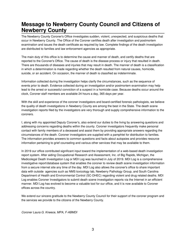#### **Message to Newberry County Council and Citizens of Newberry County**

The Newberry County Coroner's Office investigates sudden, violent, unexpected, and suspicious deaths that occur in Newberry County. The Office of the Coroner certifies death after investigation and postmortem examination and issues the death certificate as required by law. Complete findings of the death investigation are distributed to families and law enforcement agencies as appropriate.

The main duty of this office is to determine the cause and manner of death, and certify deaths that are reported to the Coroner's Office. The cause of death is the disease process or injury that resulted in death. There are thousands of diseases and injuries that may result in death. The manner of death is a classification in which a determination is made regarding whether the death resulted from natural causes, homicide, suicide, or an accident. On occasion, the manner of death is classified as indeterminate.

Information collected during the investigation helps clarify the circumstances, such as the sequence of events prior to death. Evidence collected during an investigation and/or postmortem examination may help lead to the arrest or successful conviction of a suspect in a homicide case. Because deaths occur around the clock, Coroner staff members are available 24 hours a day, 365 days per year.

With the skill and experience of the coroner investigators and board-certified forensic pathologists, we believe the quality of death investigations in Newberry County are among the best in the State. The death scene investigation reports filed by the investigators are very thorough and supply comprehensive information to the coroners.

I, along with my appointed Deputy Coroner's, also extend our duties to the living by answering questions and addressing concerns regarding deaths within the county. Coroner investigators frequently make personal contact with family members of a deceased and assist them by providing appropriate answers regarding the circumstances of the death. Coroner investigators are supplied with a pamphlet for distribution to families. The information provides answers to common questions and facts about autopsies and provides resource information pertaining to grief counseling and various other services that may be available to them.

In 2019 our office contributed significant input toward the implementation of a web-based death investigation report system. After aiding Occupational Research and Assessment, Inc. of Big Rapids, Michigan, the Medicolegal Death Investigation Log or MDI Log was launched in July of 2019. MDI Log is a comprehensive investigative report/database system that enables the coroner to review death scene investigation information from a secure internet site any time of the day. MDI Log also allows the coroner's office to share important data with outside agencies such as NMS toxicology lab, Newberry Pathology Group, and South Carolina Department of Health and Environmental Control (SC-DHEC) regarding violent and drug related deaths. MDI Log enables Coroner Investigators to submit death scene investigation reports via the Internet in an efficient manner. MDI Log has evolved to become a valuable tool for our office, and it is now available to Coroner offices across the country.

We extend our sincere gratitude to the Newberry County Council for their support of the coroner program and the services we provide to the citizens of the Newberry County.

*Coroner Laura G. Kneece, MPA, F-ABMDI*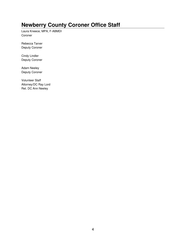# **Newberry County Coroner Office Staff**

Laura Kneece, MPA, F-ABMDI Coroner

Rebecca Tarver Deputy Coroner

Cindy Lindler Deputy Coroner

Adam Neeley Deputy Coroner

Volunteer Staff Attorney/DC Ray Lord Ret. DC Ann Neeley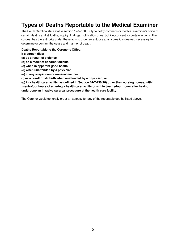# **Types of Deaths Reportable to the Medical Examiner**

The South Carolina state statue section 17-5-530, Duty to notify coroner's or medical examiner's office of certain deaths and stillbirths; inquiry; findings; notification of next-of kin; consent for certain actions. The coroner has the authority under these acts to order an autopsy at any time it is deemed necessary to determine or confirm the cause and manner of death.

**Deaths Reportable to the Coroner's Office:**

**If a person dies:**

- **(a) as a result of violence**
- **(b) as a result of apparent suicide**
- **(c) when in apparent good health**
- **(d) when unattended by a physician**
- **(e) in any suspicious or unusual manner**
- **(f) as a result of stillbirth when unattended by a physician; or**

**(g) in a health care facility, as defined in Section 44-7-130(10) other than nursing homes, within twenty-four hours of entering a health care facility or within twenty-four hours after having undergone an invasive surgical procedure at the health care facility;**

The Coroner would generally order an autopsy for any of the reportable deaths listed above.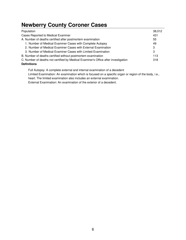# **Newberry County Coroner Cases**

| Population                                                                         | 38,012 |
|------------------------------------------------------------------------------------|--------|
| Cases Reported to Medical Examiner                                                 | 431    |
| A. Number of deaths certified after postmortem examination                         | 55     |
| 1. Number of Medical Examiner Cases with Complete Autopsy                          | 49     |
| 2. Number of Medical Examiner Cases with External Examination                      | 3      |
| 3. Number of Medical Examiner Cases with Limited Examination                       | 3      |
| B. Number of deaths certified without postmortem examination                       | 113    |
| C. Number of deaths not certified by Medical Examiner's Office after investigation | 318    |
| <b>Definitions</b>                                                                 |        |

Full Autopsy: A complete external and internal examination of a decedent Limited Examination: An examination which is focused on a specific organ or region of the body, i.e., heart. The limited examination also includes an external examination.

External Examination: An examination of the exterior of a decedent.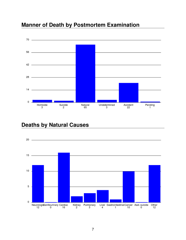



#### **Deaths by Natural Causes**

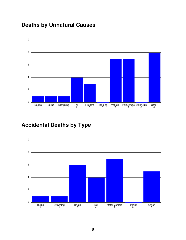# **Deaths by Unnatural Causes**



# **Accidental Deaths by Type**

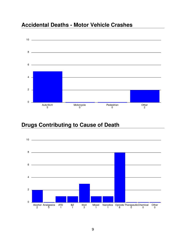#### **Accidental Deaths - Motor Vehicle Crashes**



#### **Drugs Contributing to Cause of Death**

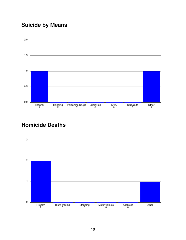## **Suicide by Means**



### **Homicide Deaths**

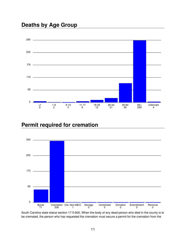

#### **Permit required for cremation**



South Carolina state statue section 17-5-600, When the body of any dead person who died in the county is to be cremated, the person who has requested the cremation must secure a permit for the cremation from the